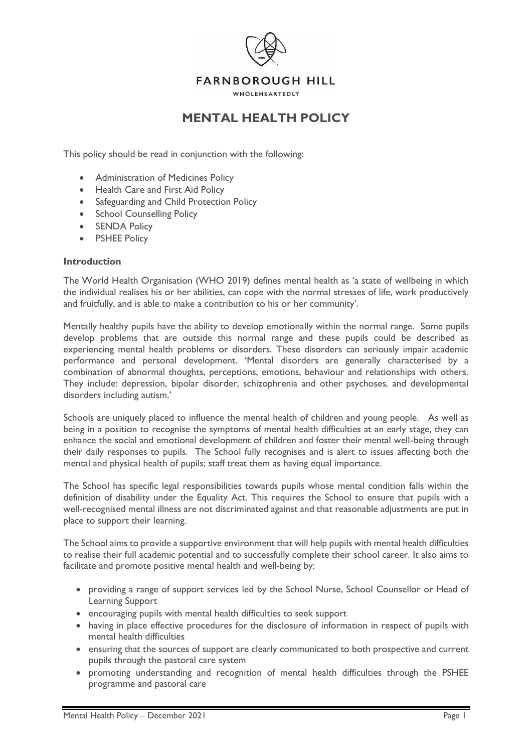

# **MENTAL HEALTH POLICY**

This policy should be read in conjunction with the following:

- Administration of Medicines Policy
- Health Care and First Aid Policy
- Safeguarding and Child Protection Policy
- School Counselling Policy
- SENDA Policy
- PSHEE Policy

#### **Introduction**

The World Health Organisation (WHO 2019) defines mental health as 'a state of wellbeing in which the individual realises his or her abilities, can cope with the normal stresses of life, work productively and fruitfully, and is able to make a contribution to his or her community'.

Mentally healthy pupils have the ability to develop emotionally within the normal range. Some pupils develop problems that are outside this normal range and these pupils could be described as experiencing mental health problems or disorders. These disorders can seriously impair academic performance and personal development. 'Mental disorders are generally characterised by a combination of abnormal thoughts, perceptions, emotions, behaviour and relationships with others. They include: depression, bipolar disorder, schizophrenia and other psychoses, and developmental disorders including autism.'

Schools are uniquely placed to influence the mental health of children and young people. As well as being in a position to recognise the symptoms of mental health difficulties at an early stage, they can enhance the social and emotional development of children and foster their mental well-being through their daily responses to pupils. The School fully recognises and is alert to issues affecting both the mental and physical health of pupils; staff treat them as having equal importance.

The School has specific legal responsibilities towards pupils whose mental condition falls within the definition of disability under the Equality Act. This requires the School to ensure that pupils with a well-recognised mental illness are not discriminated against and that reasonable adjustments are put in place to support their learning.

The School aims to provide a supportive environment that will help pupils with mental health difficulties to realise their full academic potential and to successfully complete their school career. It also aims to facilitate and promote positive mental health and well-being by:

- providing a range of support services led by the School Nurse, School Counsellor or Head of Learning Support
- encouraging pupils with mental health difficulties to seek support
- having in place effective procedures for the disclosure of information in respect of pupils with mental health difficulties
- ensuring that the sources of support are clearly communicated to both prospective and current pupils through the pastoral care system
- promoting understanding and recognition of mental health difficulties through the PSHEE programme and pastoral care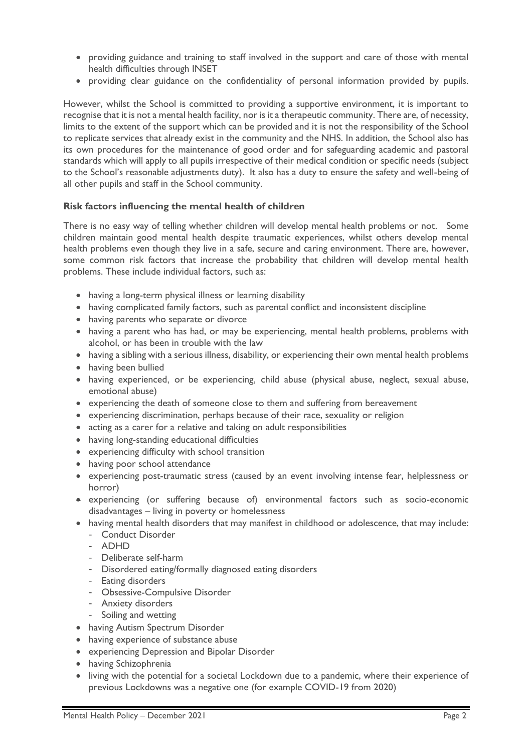- providing guidance and training to staff involved in the support and care of those with mental health difficulties through INSET
- providing clear guidance on the confidentiality of personal information provided by pupils.

However, whilst the School is committed to providing a supportive environment, it is important to recognise that it is not a mental health facility, nor is it a therapeutic community. There are, of necessity, limits to the extent of the support which can be provided and it is not the responsibility of the School to replicate services that already exist in the community and the NHS. In addition, the School also has its own procedures for the maintenance of good order and for safeguarding academic and pastoral standards which will apply to all pupils irrespective of their medical condition or specific needs (subject to the School's reasonable adjustments duty). It also has a duty to ensure the safety and well-being of all other pupils and staff in the School community.

## **Risk factors influencing the mental health of children**

There is no easy way of telling whether children will develop mental health problems or not. Some children maintain good mental health despite traumatic experiences, whilst others develop mental health problems even though they live in a safe, secure and caring environment. There are, however, some common risk factors that increase the probability that children will develop mental health problems. These include individual factors, such as:

- having a long-term physical illness or learning disability
- having complicated family factors, such as parental conflict and inconsistent discipline
- having parents who separate or divorce
- having a parent who has had, or may be experiencing, mental health problems, problems with alcohol, or has been in trouble with the law
- having a sibling with a serious illness, disability, or experiencing their own mental health problems
- having been bullied
- having experienced, or be experiencing, child abuse (physical abuse, neglect, sexual abuse, emotional abuse)
- experiencing the death of someone close to them and suffering from bereavement
- experiencing discrimination, perhaps because of their race, sexuality or religion
- acting as a carer for a relative and taking on adult responsibilities
- having long-standing educational difficulties
- experiencing difficulty with school transition
- having poor school attendance
- experiencing post-traumatic stress (caused by an event involving intense fear, helplessness or horror)
- experiencing (or suffering because of) environmental factors such as socio-economic disadvantages – living in poverty or homelessness
- having mental health disorders that may manifest in childhood or adolescence, that may include:
	- Conduct Disorder
	- ADHD
	- Deliberate self-harm
	- Disordered eating/formally diagnosed eating disorders
	- Eating disorders
	- Obsessive-Compulsive Disorder
	- Anxiety disorders
	- Soiling and wetting
- having Autism Spectrum Disorder
- having experience of substance abuse
- experiencing Depression and Bipolar Disorder
- having Schizophrenia
- living with the potential for a societal Lockdown due to a pandemic, where their experience of previous Lockdowns was a negative one (for example COVID-19 from 2020)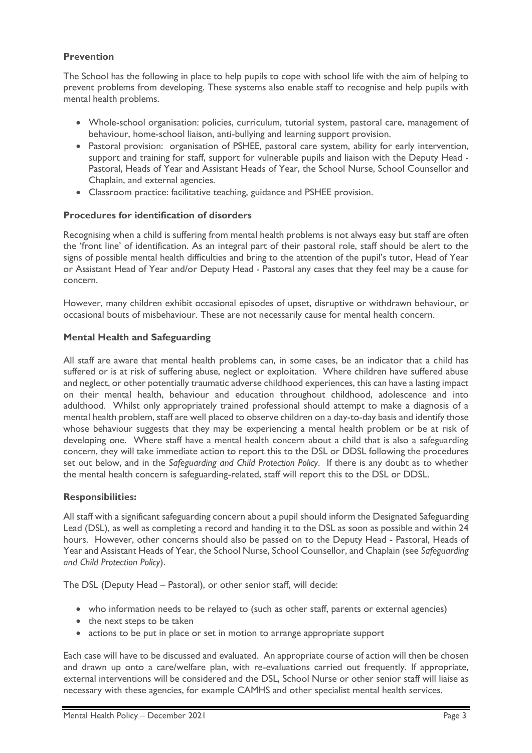## **Prevention**

The School has the following in place to help pupils to cope with school life with the aim of helping to prevent problems from developing. These systems also enable staff to recognise and help pupils with mental health problems.

- Whole-school organisation: policies, curriculum, tutorial system, pastoral care, management of behaviour, home-school liaison, anti-bullying and learning support provision.
- Pastoral provision: organisation of PSHEE, pastoral care system, ability for early intervention, support and training for staff, support for vulnerable pupils and liaison with the Deputy Head - Pastoral, Heads of Year and Assistant Heads of Year, the School Nurse, School Counsellor and Chaplain, and external agencies.
- Classroom practice: facilitative teaching, guidance and PSHEE provision.

#### **Procedures for identification of disorders**

Recognising when a child is suffering from mental health problems is not always easy but staff are often the 'front line' of identification. As an integral part of their pastoral role, staff should be alert to the signs of possible mental health difficulties and bring to the attention of the pupil's tutor, Head of Year or Assistant Head of Year and/or Deputy Head - Pastoral any cases that they feel may be a cause for concern.

However, many children exhibit occasional episodes of upset, disruptive or withdrawn behaviour, or occasional bouts of misbehaviour. These are not necessarily cause for mental health concern.

#### **Mental Health and Safeguarding**

All staff are aware that mental health problems can, in some cases, be an indicator that a child has suffered or is at risk of suffering abuse, neglect or exploitation. Where children have suffered abuse and neglect, or other potentially traumatic adverse childhood experiences, this can have a lasting impact on their mental health, behaviour and education throughout childhood, adolescence and into adulthood. Whilst only appropriately trained professional should attempt to make a diagnosis of a mental health problem, staff are well placed to observe children on a day-to-day basis and identify those whose behaviour suggests that they may be experiencing a mental health problem or be at risk of developing one. Where staff have a mental health concern about a child that is also a safeguarding concern, they will take immediate action to report this to the DSL or DDSL following the procedures set out below, and in the *Safeguarding and Child Protection Policy*. If there is any doubt as to whether the mental health concern is safeguarding-related, staff will report this to the DSL or DDSL.

#### **Responsibilities:**

All staff with a significant safeguarding concern about a pupil should inform the Designated Safeguarding Lead (DSL), as well as completing a record and handing it to the DSL as soon as possible and within 24 hours. However, other concerns should also be passed on to the Deputy Head - Pastoral, Heads of Year and Assistant Heads of Year, the School Nurse, School Counsellor, and Chaplain (see *Safeguarding and Child Protection Policy*).

The DSL (Deputy Head – Pastoral), or other senior staff, will decide:

- who information needs to be relayed to (such as other staff, parents or external agencies)
- the next steps to be taken
- actions to be put in place or set in motion to arrange appropriate support

Each case will have to be discussed and evaluated. An appropriate course of action will then be chosen and drawn up onto a care/welfare plan, with re-evaluations carried out frequently. If appropriate, external interventions will be considered and the DSL, School Nurse or other senior staff will liaise as necessary with these agencies, for example CAMHS and other specialist mental health services.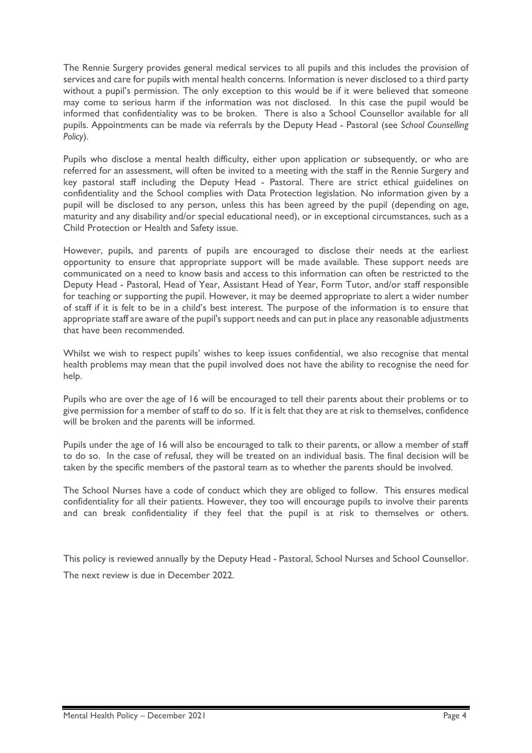The Rennie Surgery provides general medical services to all pupils and this includes the provision of services and care for pupils with mental health concerns. Information is never disclosed to a third party without a pupil's permission. The only exception to this would be if it were believed that someone may come to serious harm if the information was not disclosed. In this case the pupil would be informed that confidentiality was to be broken. There is also a School Counsellor available for all pupils. Appointments can be made via referrals by the Deputy Head - Pastoral (see *School Counselling Policy*).

Pupils who disclose a mental health difficulty, either upon application or subsequently, or who are referred for an assessment, will often be invited to a meeting with the staff in the Rennie Surgery and key pastoral staff including the Deputy Head - Pastoral. There are strict ethical guidelines on confidentiality and the School complies with Data Protection legislation. No information given by a pupil will be disclosed to any person, unless this has been agreed by the pupil (depending on age, maturity and any disability and/or special educational need), or in exceptional circumstances, such as a Child Protection or Health and Safety issue.

However, pupils, and parents of pupils are encouraged to disclose their needs at the earliest opportunity to ensure that appropriate support will be made available. These support needs are communicated on a need to know basis and access to this information can often be restricted to the Deputy Head - Pastoral, Head of Year, Assistant Head of Year, Form Tutor, and/or staff responsible for teaching or supporting the pupil. However, it may be deemed appropriate to alert a wider number of staff if it is felt to be in a child's best interest. The purpose of the information is to ensure that appropriate staff are aware of the pupil's support needs and can put in place any reasonable adjustments that have been recommended.

Whilst we wish to respect pupils' wishes to keep issues confidential, we also recognise that mental health problems may mean that the pupil involved does not have the ability to recognise the need for help.

Pupils who are over the age of 16 will be encouraged to tell their parents about their problems or to give permission for a member of staff to do so. If it is felt that they are at risk to themselves, confidence will be broken and the parents will be informed.

Pupils under the age of 16 will also be encouraged to talk to their parents, or allow a member of staff to do so. In the case of refusal, they will be treated on an individual basis. The final decision will be taken by the specific members of the pastoral team as to whether the parents should be involved.

The School Nurses have a code of conduct which they are obliged to follow. This ensures medical confidentiality for all their patients. However, they too will encourage pupils to involve their parents and can break confidentiality if they feel that the pupil is at risk to themselves or others.

This policy is reviewed annually by the Deputy Head - Pastoral, School Nurses and School Counsellor. The next review is due in December 2022.